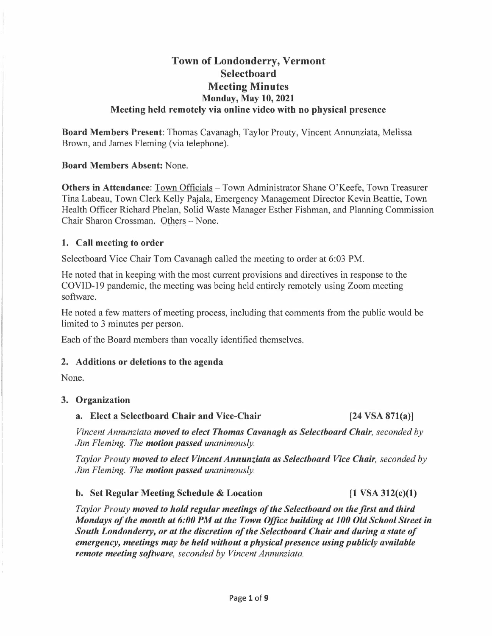## **Town of Londonderry, Vermont Selectboard Meeting Minutes Monday, May 10, 2021 Meeting held remotely via online video with no physical presence**

**Board Members Present:** Thomas Cavanagh, Taylor Prouty, Vincent Annunziata, Melissa Brown, and James Fleming (via telephone).

**Board Members Absent:** None.

**Others in Attendance:** Town Officials – Town Administrator Shane O'Keefe, Town Treasurer Tina Labeau, Town Clerk Kelly Pajala, Emergency Management Director Kevin Beattie, Town Health Officer Richard Phelan, Solid Waste Manager Esther Fishman, and Planning Commission Chair Sharon Crossman. Others - None.

### **1. Call meeting to order**

Selectboard Vice Chair Tom Cavanagh called the meeting to order at 6:03 PM.

He noted that in keeping with the most current provisions and directives in response to the COVID-19 pandemic, the meeting was being held entirely remotely using Zoom meeting software.

He noted a few matters of meeting process, including that comments from the public would be limited to 3 minutes per person.

Each of the Board members than vocally identified themselves.

### **2. Additions or deletions to the agenda**

None.

### **3. Organization**

### **a. Elect a Selectboard Chair and Vice-Chair [24 VSA 871(a)]**

*Vincent Annunziata moved to elect Thomas Cavanagh as Selectboard Chair, seconded by Jim Fleming. The motion passed unanimously.* 

*Taylor Prouty moved to elect Vincent Annunziata as Selectboard Vice Chair, seconded by Jim Fleming. The motion passed unanimously.* 

### **b.** Set Regular Meeting Schedule & Location [1 VSA 312(c)(1)

*Taylor Prouty moved to hold regular meetings of the Selectboard on the first and third Mondays of the month at 6:00 PM at the Town Office building at 100 Old School Street in South Londonderry, or at the discretion of the Selectboard Chair and during a state of emergency, meetings may be held without a physical presence using publicly available remote meeting software, seconded by Vincent Annunziata.*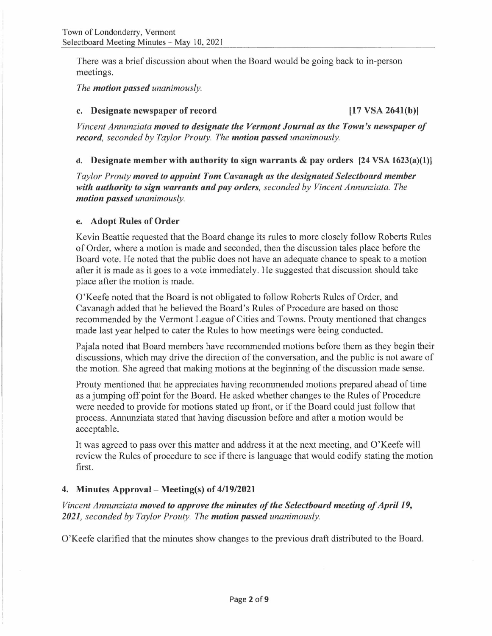There was a brief discussion about when the Board would be going back to in-person meetings.

*The motion passed unanimously.* 

### **c. Designate newspaper of record [17 VSA 2641(b)]**

*Vincent Annunziata moved to designate the Vermont Journal as the Town's newspaper of record, seconded by Taylor Prouty. The motion passed unanimously.* 

### **d. Designate member with authority to sign warrants & pay orders (24 VSA 1623(a)(l)]**

*Taylor Prouty moved to appoint Tom Cavanagh as the designated Selectboard member with authority to sign warrants and pay orders, seconded by Vincent Annunziata. The motion passed unanimously.* 

### **e. Adopt Rules of Order**

Kevin Beattie requested that the Board change its rules to more closely follow Roberts Rules of Order, where a motion is made and seconded, then the discussion tales place before the Board vote. He noted that the public does not have an adequate chance to speak to a motion after it is made as it goes to a vote immediately. He suggested that discussion should take place after the motion is made.

O'Keefe noted that the Board is not obligated to follow Roberts Rules of Order, and Cavanagh added that he believed the Board's Rules of Procedure are based on those recommended by the Vermont League of Cities and Towns. Prouty mentioned that changes made last year helped to cater the Rules to how meetings were being conducted.

Pajala noted that Board members have recommended motions before them as they begin their discussions, which may drive the direction of the conversation, and the public is not aware of the motion. She agreed that making motions at the beginning of the discussion made sense.

Prouty mentioned that he appreciates having recommended motions prepared ahead of time as a jumping off point for the Board. He asked whether changes to the Rules of Procedure were needed to provide for motions stated up front, or if the Board could just follow that process. Annunziata stated that having discussion before and after a motion would be acceptable.

It was agreed to pass over this matter and address it at the next meeting, and O'Keefe will review the Rules of procedure to see if there is language that would codify stating the motion first.

### **4. Minutes Approval- Meeting(s) of 4/19/2021**

*Vincent Annunziata moved to approve the minutes of the Selectboard meeting of April 19, 2021, seconded by Taylor Prouty. The motion passed unanimously.* 

O'Keefe clarified that the minutes show changes to the previous draft distributed to the Board.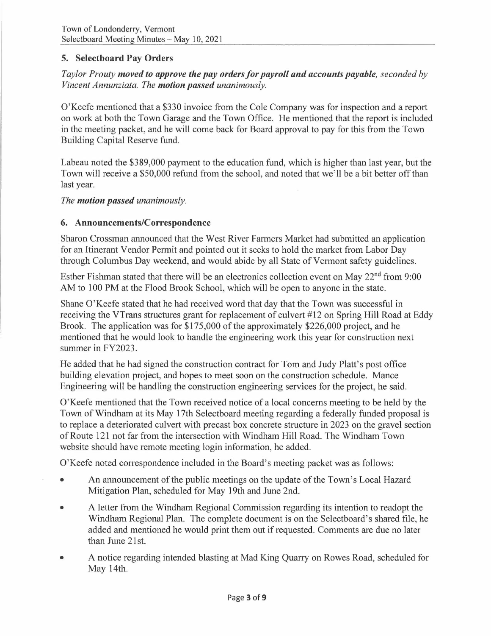## **5. Selectboard Pay Orders**

## *Taylor Prouty moved to approve the pay orders for payroll and accounts payable, seconded by Vincent Annunziata. The motion passed unanimously.*

O'Keefe mentioned that a \$330 invoice from the Cole Company was for inspection and a report on work at both the Town Garage and the Town Office. He mentioned that the report is included in the meeting packet, and he will come back for Board approval to pay for this from the Town Building Capital Reserve fund.

Labeau noted the \$389,000 payment to the education fund, which is higher than last year, but the Town will receive a \$50,000 refund from the school, and noted that we'll be a bit better off than last year.

*The motion passed unanimously.* 

### **6. Announcements/Correspondence**

Sharon Crossman announced that the West River Farmers Market had submitted an application for an Itinerant Vendor Permit and pointed out it seeks to hold the market from Labor Day through Columbus Day weekend, and would abide by all State of Vermont safety guidelines.

Esther Fishman stated that there will be an electronics collection event on May 22<sup>nd</sup> from 9:00 AM to 100 PM at the Flood Brook School, which will be open to anyone in the state.

Shane O'Keefe stated that he had received word that day that the Town was successful in receiving the VTrans structures grant for replacement of culvert #12 on Spring Hill Road at Eddy Brook. The application was for \$175,000 of the approximately \$226,000 project, and he mentioned that he would look to handle the engineering work this year for construction next summer in FY2023.

He added that he had signed the construction contract for Tom and Judy Platt's post office building elevation project, and hopes to meet soon on the construction schedule. Mance Engineering will be handling the construction engineering services for the project, he said.

O'Keefe mentioned that the Town received notice of a local concerns meeting to be held by the Town of Windham at its May 17th Selectboard meeting regarding a federally funded proposal is to replace a deteriorated culvert with precast box concrete structure in 2023 on the gravel section of Route 121 not far from the intersection with Windham Hill Road. The Windham Town website should have remote meeting login information, he added.

O'Keefe noted correspondence included in the Board's meeting packet was as follows:

- An announcement of the public meetings on the update of the Town's Local Hazard Mitigation Plan, scheduled for May 19th and June 2nd.
- A letter from the Windham Regional Commission regarding its intention to readopt the Windham Regional Plan. The complete document is on the Selectboard's shared file, he added and mentioned he would print them out if requested. Comments are due no later than June 21st.
- A notice regarding intended blasting at Mad King Quarry on Rowes Road, scheduled for May 14th.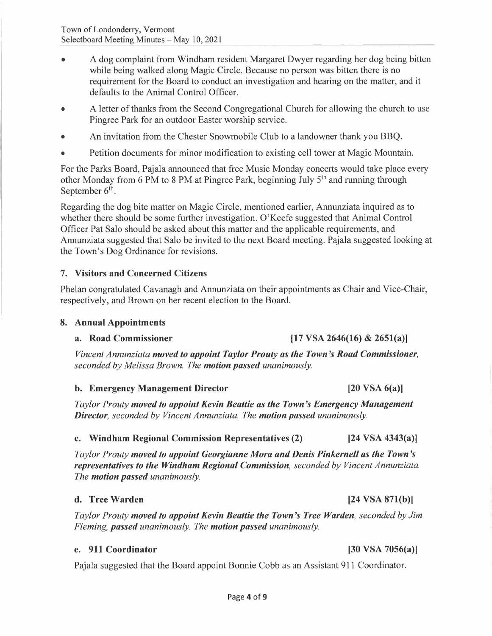- A dog complaint from Windham resident Margaret Dwyer regarding her dog being bitten while being walked along Magic Circle. Because no person was bitten there is no requirement for the Board to conduct an investigation and hearing on the matter, and it defaults to the Animal Control Officer.
- A letter of thanks from the Second Congregational Church for allowing the church to use Pingree Park for an outdoor Easter worship service.
- An invitation from the Chester Snowmobile Club to a landowner thank you BBQ.
- Petition documents for minor modification to existing cell tower at Magic Mountain.

For the Parks Board, Pajala announced that free Music Monday concerts would take place every other Monday from 6 PM to 8 PM at Pingree Park, beginning July 5<sup>th</sup> and running through September  $6^{\text{th}}$ .

Regarding the dog bite matter on Magic Circle, mentioned earlier, Annunziata inquired as to whether there should be some further investigation. O'Keefe suggested that Animal Control Officer Pat Salo should be asked about this matter and the applicable requirements, and Annunziata suggested that Salo be invited to the next Board meeting. Pajala suggested looking at the Town's Dog Ordinance for revisions.

## **7. Visitors and Concerned Citizens**

Phelan congratulated Cavanagh and Annunziata on their appointments as Chair and Vice-Chair, respectively, and Brown on her recent election to the Board.

### **8. Annual Appointments**

### **a. Road Commissioner [17 VSA 2646(16) & 265l(a)]**

# *Vincent Annunziata moved to appoint Taylor Prouty as the Town's Road Commissioner, seconded by Melissa Brown. The motion passed unanimously.*

## **b.** Emergency Management Director [20 VSA 6(a)]

*Taylor Prouty moved to appoint Kevin Beattie as the Town's Emergency Management Director, seconded by Vincent Annunziata. The motion passed unanimously.* 

## **c. Windham Regional Commission Representatives (2) (24 VSA 4343(a)]**

*Taylor Prouty moved to appoint Georgianne Mora and Denis Pinkernell as the Town's representatives to the Windham Regional Commission, seconded by Vincent Annunziata. The motion passed unanimously.* 

## **d.** Tree Warden **by Eq. 24 VSA 871(b)**

*Taylor Prouty moved to appoint Kevin Beattie the Town's Tree Warden, seconded by Jim Fleming, passed unanimously. The motion passed unanimously.* 

## **e. 911 Coordinator [30 VSA 7056(a)]**

Pajala suggested that the Board appoint Bonnie Cobb as an Assistant 911 Coordinator.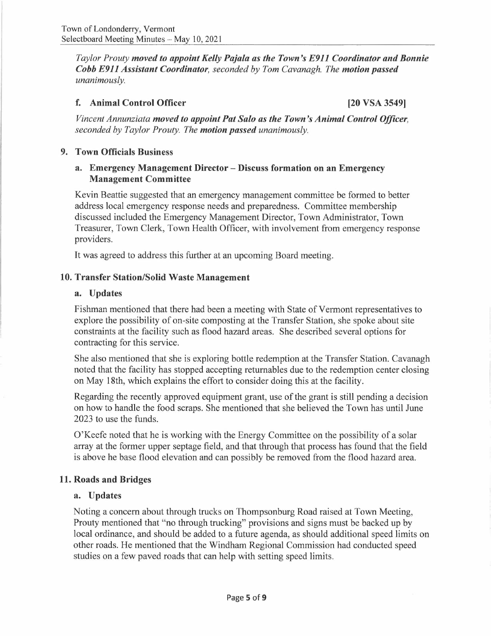*Taylor Prouty moved to appoint Kelly Pajala as the Town's E911 Coordinator and Bonnie Cobb E911 Assistant Coordinator, seconded by Tom Cavanagh. The motion passed unanimously.* 

### **f. Animal Control Officer [20 VSA 3549]**

*Vincent Annunziata moved to appoint Pat Salo as the Town's Animal Control Officer, seconded by Taylor Prouty. The motion passed unanimously.* 

### **9. Town Officials Business**

### **a. Emergency Management Director - Discuss formation on an Emergency Management Committee**

Kevin Beattie suggested that an emergency management committee be formed to better address local emergency response needs and preparedness. Committee membership discussed included the Emergency Management Director, Town Administrator, Town Treasurer, Town Clerk, Town Health Officer, with involvement from emergency response providers.

It was agreed to address this further at an upcoming Board meeting.

### **10. Transfer Station/Solid Waste Management**

### **a. Updates**

Fishman mentioned that there had been a meeting with State of Vermont representatives to explore the possibility of on-site composting at the Transfer Station, she spoke about site constraints at the facility such as flood hazard areas. She described several options for contracting for this service.

She also mentioned that she is exploring bottle redemption at the Transfer Station. Cavanagh noted that the facility has stopped accepting returnables due to the redemption center closing on May 18th, which explains the effort to consider doing this at the facility.

Regarding the recently approved equipment grant, use of the grant is still pending a decision on how to handle the food scraps. She mentioned that she believed the Town has until June 2023 to use the funds.

O'Keefe noted that he is working with the Energy Committee on the possibility of a solar array at the former upper septage field, and that through that process has found that the field is above he base flood elevation and can possibly be removed from the flood hazard area.

### **11. Roads and Bridges**

### **a. Updates**

Noting a concern about through trucks on Thompsonburg Road raised at Town Meeting, Prouty mentioned that "no through trucking" provisions and signs must be backed up by local ordinance, and should be added to a future agenda, as should additional speed limits on other roads. He mentioned that the Windham Regional Commission had conducted speed studies on a few paved roads that can help with setting speed limits.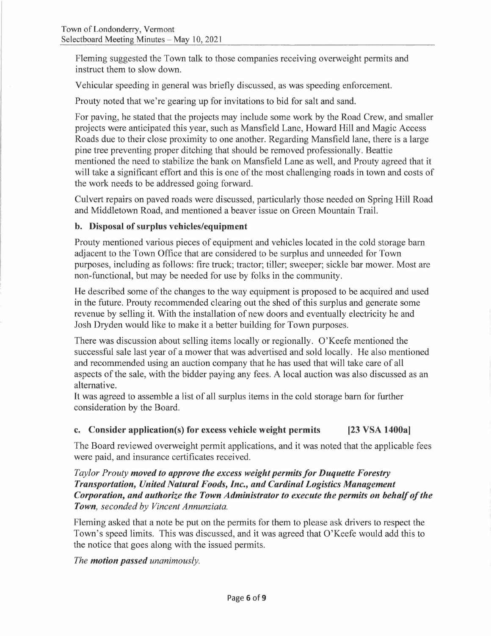Fleming suggested the Town talk to those companies receiving overweight permits and instruct them to slow down.

Vehicular speeding in general was briefly discussed, as was speeding enforcement.

Prouty noted that we're gearing up for invitations to bid for salt and sand.

For paving, he stated that the projects may include some work by the Road Crew, and smaller projects were anticipated this year, such as Mansfield Lane, Howard Hill and Magic Access Roads due to their close proximity to one another. Regarding Mansfield lane, there is a large pine tree preventing proper ditching that should be removed professionally. Beattie mentioned the need to stabilize the bank on Mansfield Lane as well, and Prouty agreed that it will take a significant effort and this is one of the most challenging roads in town and costs of the work needs to be addressed going forward.

Culvert repairs on paved roads were discussed, particularly those needed on Spring Hill Road and Middletown Road, and mentioned a beaver issue on Green Mountain Trail.

### **b. Disposal of surplus vehicles/equipment**

Prouty mentioned various pieces of equipment and vehicles located in the cold storage barn adjacent to the Town Office that are considered to be surplus and unneeded for Town purposes, including as follows: fire truck; tractor; tiller; sweeper; sickle bar mower. Most are non-functional, but may be needed for use by folks in the community.

He described some of the changes to the way equipment is proposed to be acquired and used in the future. Prouty recommended clearing out the shed of this surplus and generate some revenue by selling it. With the installation of new doors and eventually electricity he and Josh Dryden would like to make it a better building for Town purposes.

There was discussion about selling items locally or regionally. O'Keefe mentioned the successful sale last year of a mower that was advertised and sold locally. He also mentioned and recommended using an auction company that he has used that will take care of all aspects of the sale, with the bidder paying any fees. A local auction was also discussed as an alternative.

It was agreed to assemble a list of all surplus items in the cold storage barn for further consideration by the Board.

### **c. Consider application(s) for excess vehicle weight permits [23 VSA 1400a]**

The Board reviewed overweight permit applications, and it was noted that the applicable fees were paid, and insurance certificates received.

*Taylor Prouty moved to approve the excess weight permits for Duquette Forestry Transportation, United Natural Foods, Inc., and Cardinal Logistics Management Corporation, and authorize the Town Administrator to execute the permits on behalf of the Town, seconded by Vincent Annunziata.* 

Fleming asked that a note be put on the permits for them to please ask drivers to respect the Town's speed limits. This was discussed, and it was agreed that O'Keefe would add this to the notice that goes along with the issued permits.

*The motion passed unanimously.*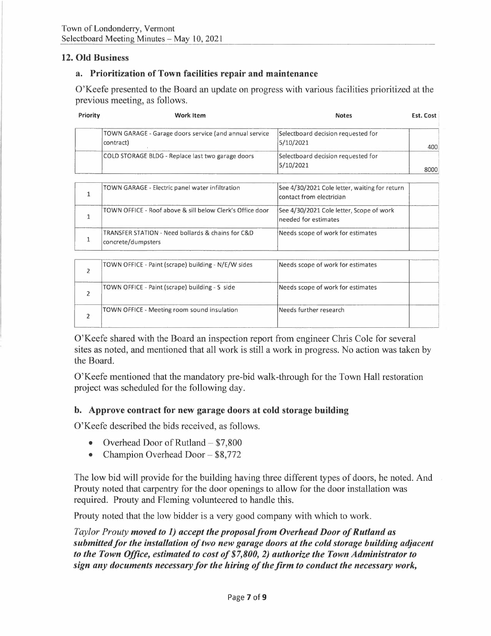### **12. Old Business**

### **a. Prioritization of Town facilities repair and maintenance**

O'Keefe presented to the Board an update on progress with various facilities prioritized at the previous meeting, as follows.

| Priority       | <b>Work Item</b>                                                        | <b>Notes</b>                                                              | Est. Cost |
|----------------|-------------------------------------------------------------------------|---------------------------------------------------------------------------|-----------|
|                | TOWN GARAGE - Garage doors service (and annual service<br>contract)     | Selectboard decision requested for<br>5/10/2021                           | 400       |
|                | COLD STORAGE BLDG - Replace last two garage doors                       | Selectboard decision requested for<br>5/10/2021                           | 8000      |
| $\mathbf{1}$   | TOWN GARAGE - Electric panel water infiltration                         | See 4/30/2021 Cole letter, waiting for return<br>contact from electrician |           |
| $\mathbf{1}$   | TOWN OFFICE - Roof above & sill below Clerk's Office door               | See 4/30/2021 Cole letter, Scope of work<br>needed for estimates          |           |
| $\mathbf{1}$   | TRANSFER STATION - Need bollards & chains for C&D<br>concrete/dumpsters | Needs scope of work for estimates                                         |           |
| $\overline{2}$ | TOWN OFFICE - Paint (scrape) building - N/E/W sides                     | Needs scope of work for estimates                                         |           |
| $\overline{2}$ | TOWN OFFICE - Paint (scrape) building - S side                          | Needs scope of work for estimates                                         |           |
| $\overline{2}$ | TOWN OFFICE - Meeting room sound insulation                             | Needs further research                                                    |           |

O'Keefe shared with the Board an inspection report from engineer Chris Cole for several sites as noted, and mentioned that all work is still a work in progress. No action was taken by the Board.

O'Keefe mentioned that the mandatory pre-bid walk-through for the Town Hall restoration project was scheduled for the following day.

### **b. Approve contract for new garage doors at cold storage building**

O'Keefe described the bids received, as follows.

- Overhead Door of Rutland  $$7,800$ <br>• Champion Overhead Door  $$8,772$
- Champion Overhead Door \$8,772

The low bid will provide for the building having three different types of doors, he noted. And Prouty noted that carpentry for the door openings to allow for the door installation was required. Prouty and Fleming volunteered to handle this.

Prouty noted that the low bidder is a very good company with which to work.

*Taylor Prouty moved to 1) accept the proposal from Overhead Door of Rutland as submitted for the installation of two new garage doors at the cold storage building adjacent to the Town Office, estimated to cost of \$7,800, 2) authorize the Town Administrator to sign any documents necessary for the hiring of the firm to conduct the necessary work,*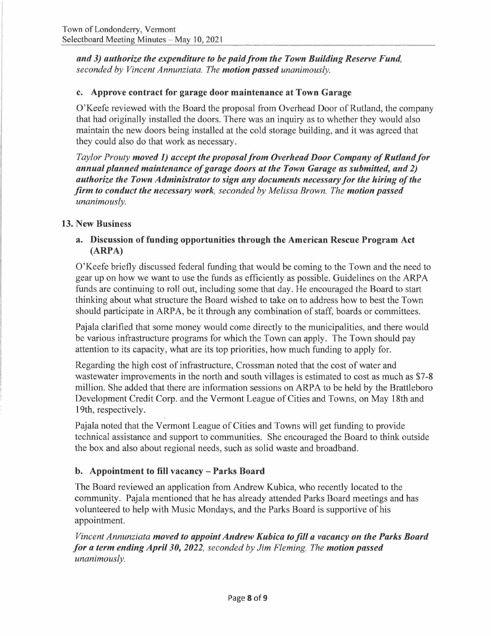*and 3) authorize the expenditure to be paid from the Town Building Reserve Fund, seconded by Vincent Annunziata. The motion passed unanimously.* 

### **c. Approve contract for garage door maintenance at Town Garage**

O'Keefe reviewed with the Board the proposal from Overhead Door of Rutland, the company that had originally installed the doors. There was an inquiry as to whether they would also maintain the new doors being installed at the cold storage building, and it was agreed that they could also do that work as necessary.

*Taylor Prouty moved 1) accept the proposal from Overhead Door Company of Rutland/or annual planned maintenance of garage doors at the Town Garage as submitted, and 2) authorize the Town Administrator to sign any documents necessary for the hiring of the firm to conduct the necessary work, seconded by Melissa Brown. The motion passed unanimously.* 

## **13. New Business**

### **a. Discussion of funding opportunities through the American Rescue Program Act (ARPA)**

O'Keefe briefly discussed federal funding that would be coming to the Town and the need to gear up on how we want to use the funds as efficiently as possible. Guidelines on the ARP A funds are continuing to roll out, including some that day. He encouraged the Board to start thinking about what structure the Board wished to take on to address how to best the Town should participate in ARPA, be it through any combination of staff, boards or committees.

Pajala clarified that some money would come directly to the municipalities, and there would be various infrastructure programs for which the Town can apply. The Town should pay attention to its capacity, what are its top priorities, how much funding to apply for.

Regarding the high cost of infrastructure, Crossman noted that the cost of water and wastewater improvements in the north and south villages is estimated to cost as much as \$7-8 million. She added that there are information sessions on ARPA to be held by the Brattleboro Development Credit Corp. and the Vermont League of Cities and Towns, on May 18th and 19th, respectively.

Pajala noted that the Vermont League of Cities and Towns will get funding to provide technical assistance and support to communities. She encouraged the Board to think outside the box and also about regional needs, such as solid waste and broadband.

## **b. Appointment to fill vacancy - Parks Board**

The Board reviewed an application from Andrew Kubica, who recently located to the community. Pajala mentioned that he has already attended Parks Board meetings and has volunteered to help with Music Mondays, and the Parks Board is supportive of his appointment.

*Vincent Annunziata moved to appoint Andrew Kubica to fill a vacancy on the Parks Board for a term ending April 30, 2022, seconded by Jim Fleming. The motion passed unanimously.*